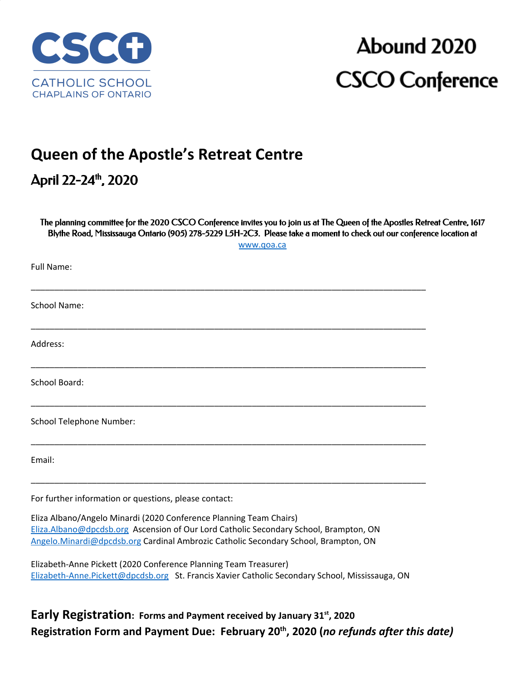

# Abound 2020 **CSCO Conference**

## **Queen of the Apostle's Retreat Centre**

### April 22-24 th , 2020

The planning committee for the 2020 CSCO Conference invites you to join us at The Queen of the Apostles Retreat Centre, 1617 Blythe Road, Mississauga Ontario (905) 278-5229 L5H-2C3. Please take a moment to check out our conference location at

[www.qoa.ca](http://www.qoa.ca/)

\_\_\_\_\_\_\_\_\_\_\_\_\_\_\_\_\_\_\_\_\_\_\_\_\_\_\_\_\_\_\_\_\_\_\_\_\_\_\_\_\_\_\_\_\_\_\_\_\_\_\_\_\_\_\_\_\_\_\_\_\_\_\_\_\_\_\_\_\_\_\_\_\_\_\_\_\_\_\_\_\_\_\_\_ School Name: \_\_\_\_\_\_\_\_\_\_\_\_\_\_\_\_\_\_\_\_\_\_\_\_\_\_\_\_\_\_\_\_\_\_\_\_\_\_\_\_\_\_\_\_\_\_\_\_\_\_\_\_\_\_\_\_\_\_\_\_\_\_\_\_\_\_\_\_\_\_\_\_\_\_\_\_\_\_\_\_\_\_\_\_ Address: \_\_\_\_\_\_\_\_\_\_\_\_\_\_\_\_\_\_\_\_\_\_\_\_\_\_\_\_\_\_\_\_\_\_\_\_\_\_\_\_\_\_\_\_\_\_\_\_\_\_\_\_\_\_\_\_\_\_\_\_\_\_\_\_\_\_\_\_\_\_\_\_\_\_\_\_\_\_\_\_\_\_\_\_

School Board:

Full Name:

School Telephone Number:

Email:

For further information or questions, please contact:

Eliza Albano/Angelo Minardi (2020 Conference Planning Team Chairs) [Eliza.Albano@dpcdsb.org](mailto:Eliza.Albano@dpcdsb.org) Ascension of Our Lord Catholic Secondary School, Brampton, ON [Angelo.Minardi@dpcdsb.org](mailto:Angelo.Minardi@dpcdsb.org) Cardinal Ambrozic Catholic Secondary School, Brampton, ON

Elizabeth-Anne Pickett (2020 Conference Planning Team Treasurer) [Elizabeth-Anne.Pickett@dpcdsb.org](mailto:Elizabeth-Anne.Pickett@dpcdsb.org) St. Francis Xavier Catholic Secondary School, Mississauga, ON

\_\_\_\_\_\_\_\_\_\_\_\_\_\_\_\_\_\_\_\_\_\_\_\_\_\_\_\_\_\_\_\_\_\_\_\_\_\_\_\_\_\_\_\_\_\_\_\_\_\_\_\_\_\_\_\_\_\_\_\_\_\_\_\_\_\_\_\_\_\_\_\_\_\_\_\_\_\_\_\_\_\_\_\_

\_\_\_\_\_\_\_\_\_\_\_\_\_\_\_\_\_\_\_\_\_\_\_\_\_\_\_\_\_\_\_\_\_\_\_\_\_\_\_\_\_\_\_\_\_\_\_\_\_\_\_\_\_\_\_\_\_\_\_\_\_\_\_\_\_\_\_\_\_\_\_\_\_\_\_\_\_\_\_\_\_\_\_\_

\_\_\_\_\_\_\_\_\_\_\_\_\_\_\_\_\_\_\_\_\_\_\_\_\_\_\_\_\_\_\_\_\_\_\_\_\_\_\_\_\_\_\_\_\_\_\_\_\_\_\_\_\_\_\_\_\_\_\_\_\_\_\_\_\_\_\_\_\_\_\_\_\_\_\_\_\_\_\_\_\_\_\_\_

**Early Registration: Forms and Payment received by January 31st , 2020 Registration Form and Payment Due: February 20 th , 2020 (***no refunds after this date)*